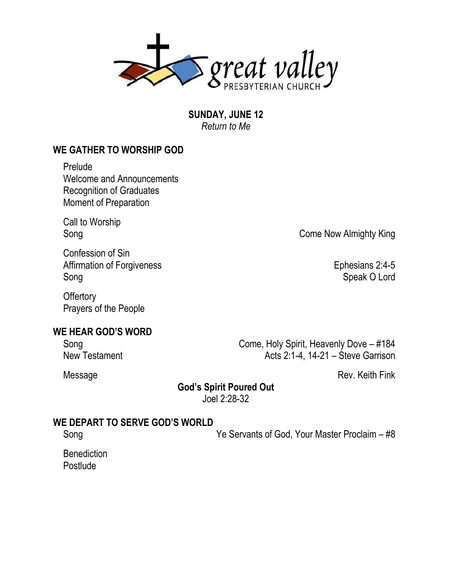

**SUNDAY, JUNE 12** *Return to Me*

## **WE GATHER TO WORSHIP GOD**

Prelude Welcome and Announcements Recognition of Graduates Moment of Preparation

Call to Worship

Confession of Sin Affirmation of Forgiveness **Ephesians 2:4-5** Song Speak O Lord

**Offertory** Prayers of the People

### **WE HEAR GOD'S WORD**

Song Come, Holy Spirit, Heavenly Dove – #184 New Testament **Acts 2:1-4, 14-21 – Steve Garrison** 

Message Rev. Keith Fink

**God's Spirit Poured Out**

Joel 2:28-32

#### **WE DEPART TO SERVE GOD'S WORLD**

Song Ye Servants of God, Your Master Proclaim – #8

**Benediction Postlude** 

Song Come Now Almighty King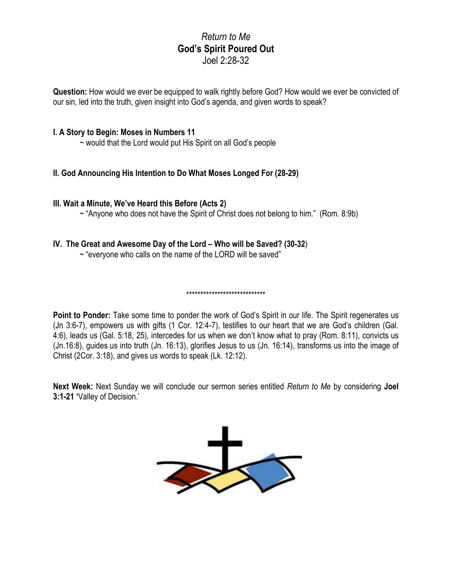## *Return to Me* **God's Spirit Poured Out** Joel 2:28-32

**Question:** How would we ever be equipped to walk rightly before God? How would we ever be convicted of our sin, led into the truth, given insight into God's agenda, and given words to speak?

#### **I. A Story to Begin: Moses in Numbers 11**

~ would that the Lord would put His Spirit on all God's people

#### **II. God Announcing His Intention to Do What Moses Longed For (28-29)**

#### **III. Wait a Minute, We've Heard this Before (Acts 2)**

 $\sim$  "Anyone who does not have the Spirit of Christ does not belong to him." (Rom. 8:9b)

#### **IV. The Great and Awesome Day of the Lord – Who will be Saved? (30-32**)

 $\sim$  "everyone who calls on the name of the LORD will be saved"

#### \*\*\*\*\*\*\*\*\*\*\*\*\*\*\*\*\*\*\*\*\*\*\*\*\*\*\*\*

**Point to Ponder:** Take some time to ponder the work of God's Spirit in our life. The Spirit regenerates us (Jn 3:6-7), empowers us with gifts (1 Cor. 12:4-7), testifies to our heart that we are God's children (Gal. 4:6), leads us (Gal. 5:18, 25), intercedes for us when we don't know what to pray (Rom. 8:11), convicts us (Jn.16:8), guides us into truth (Jn. 16:13), glorifies Jesus to us (Jn. 16:14), transforms us into the image of Christ (2Cor. 3:18), and gives us words to speak (Lk. 12:12).

**Next Week:** Next Sunday we will conclude our sermon series entitled *Return to Me* by considering **Joel 3:1-21 '**Valley of Decision.'

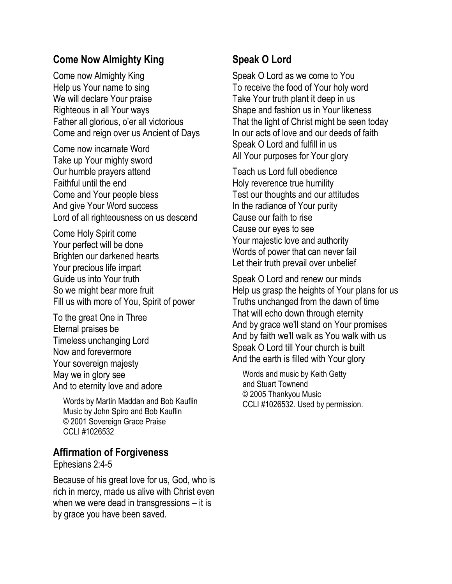# **Come Now Almighty King**

Come now Almighty King Help us Your name to sing We will declare Your praise Righteous in all Your ways Father all glorious, o'er all victorious Come and reign over us Ancient of Days

Come now incarnate Word Take up Your mighty sword Our humble prayers attend Faithful until the end Come and Your people bless And give Your Word success Lord of all righteousness on us descend

Come Holy Spirit come Your perfect will be done Brighten our darkened hearts Your precious life impart Guide us into Your truth So we might bear more fruit Fill us with more of You, Spirit of power

To the great One in Three Eternal praises be Timeless unchanging Lord Now and forevermore Your sovereign majesty May we in glory see And to eternity love and adore

Words by Martin Maddan and Bob Kauflin Music by John Spiro and Bob Kauflin © 2001 Sovereign Grace Praise CCLI #1026532

# **Affirmation of Forgiveness**

Ephesians 2:4-5

Because of his great love for us, God, who is rich in mercy, made us alive with Christ even when we were dead in transgressions – it is by grace you have been saved.

# **Speak O Lord**

Speak O Lord as we come to You To receive the food of Your holy word Take Your truth plant it deep in us Shape and fashion us in Your likeness That the light of Christ might be seen today In our acts of love and our deeds of faith Speak O Lord and fulfill in us All Your purposes for Your glory

Teach us Lord full obedience Holy reverence true humility Test our thoughts and our attitudes In the radiance of Your purity Cause our faith to rise Cause our eyes to see Your majestic love and authority Words of power that can never fail Let their truth prevail over unbelief

Speak O Lord and renew our minds Help us grasp the heights of Your plans for us Truths unchanged from the dawn of time That will echo down through eternity And by grace we'll stand on Your promises And by faith we'll walk as You walk with us Speak O Lord till Your church is built And the earth is filled with Your glory

Words and music by Keith Getty and Stuart Townend © 2005 Thankyou Music CCLI #1026532. Used by permission.